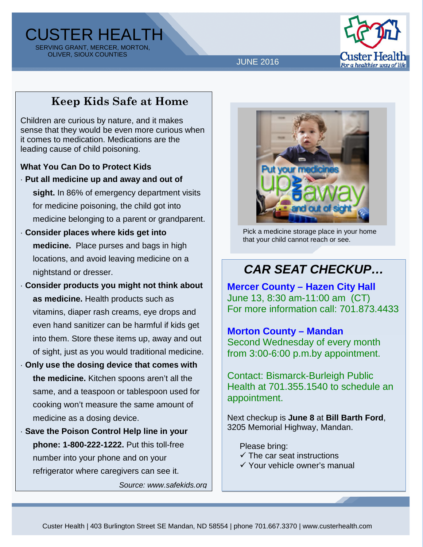CUSTER HEALTH SERVING GRANT, MERCER, MORTON, OLIVER, SIOUX COUNTIES



JUNE 2016

# **Keep Kids Safe at Home**

Children are curious by nature, and it makes sense that they would be even more curious when it comes to medication. Medications are the leading cause of child poisoning.

#### **What You Can Do to Protect Kids**

- · **Put all medicine up and away and out of sight.** In 86% of emergency department visits for medicine poisoning, the child got into medicine belonging to a parent or grandparent.
- · **Consider places where kids get into medicine.** Place purses and bags in high locations, and avoid leaving medicine on a nightstand or dresser.
- · **Consider products you might not think about as medicine.** Health products such as vitamins, diaper rash creams, eye drops and even hand sanitizer can be harmful if kids get into them. Store these items up, away and out of sight, just as you would traditional medicine.
- · **Only use the dosing device that comes with the medicine.** Kitchen spoons aren't all the same, and a teaspoon or tablespoon used for cooking won't measure the same amount of medicine as a dosing device.
- · **Save the Poison Control Help line in your phone: 1-800-222-1222.** Put this toll-free number into your phone and on your refrigerator where caregivers can see it.

*Source: www.safekids.org*



Pick a medicine storage place in your home that your child cannot reach or see.

# *CAR SEAT CHECKUP…*

**Mercer County – Hazen City Hall** June 13, 8:30 am-11:00 am (CT) For more information call: 701.873.4433

### **Morton County – Mandan**

Second Wednesday of every month from 3:00-6:00 p.m.by appointment.

Contact: Bismarck-Burleigh Public Health at 701.355.1540 to schedule an appointment.

Next checkup is **June 8** at **Bill Barth Ford**, 3205 Memorial Highway, Mandan.

Please bring:

- $\checkmark$  The car seat instructions
- $\checkmark$  Your vehicle owner's manual